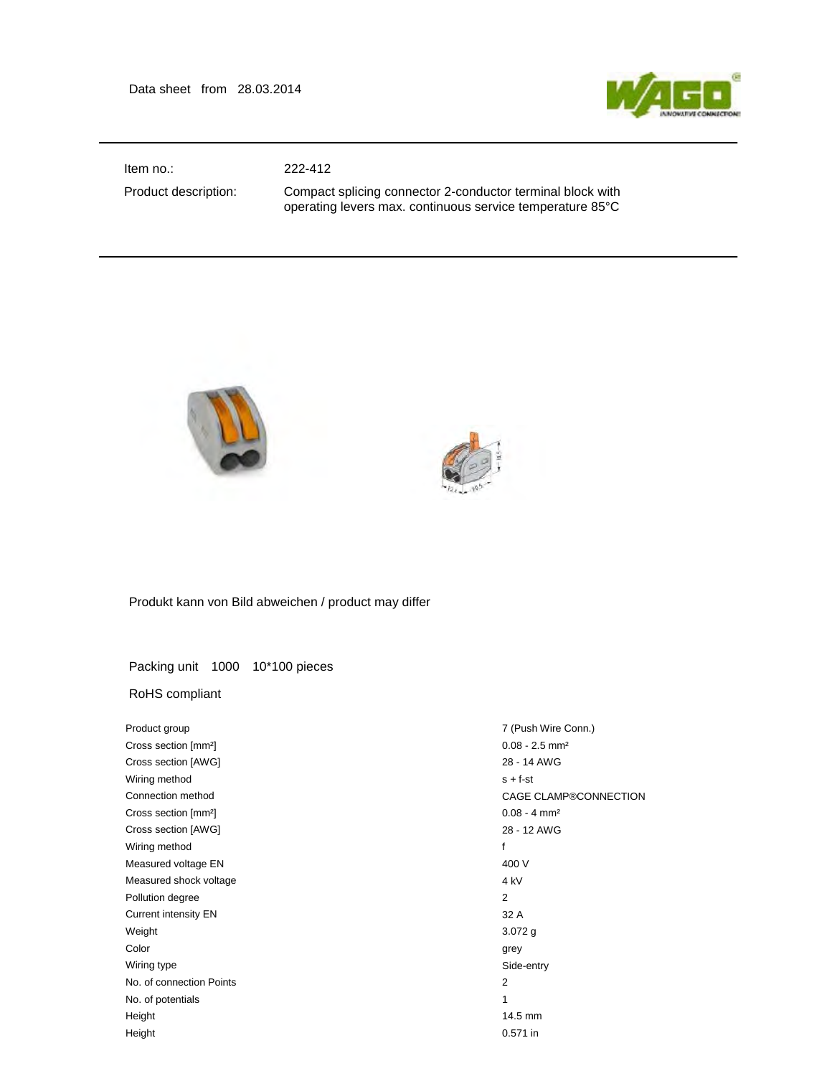Data sheet from 28.03.2014



Item no.: 222-412

Product description: Compact splicing connector 2-conductor terminal block with operating levers max. continuous service temperature 85°C





Produkt kann von Bild abweichen / product may differ

Packing unit 1000 10\*100 pieces

## RoHS compliant

| Product group                    | 7 (Push Wire Conn.)          |
|----------------------------------|------------------------------|
| Cross section [mm <sup>2</sup> ] | $0.08 - 2.5$ mm <sup>2</sup> |
| Cross section [AWG]              | 28 - 14 AWG                  |
| Wiring method                    | $s + f - st$                 |
| Connection method                | CAGE CLAMP®CONNECTION        |
| Cross section [mm <sup>2</sup> ] | $0.08 - 4$ mm <sup>2</sup>   |
| Cross section [AWG]              | 28 - 12 AWG                  |
| Wiring method                    | f                            |
| Measured voltage EN              | 400 V                        |
| Measured shock voltage           | 4 <sub>kV</sub>              |
| Pollution degree                 | $\overline{2}$               |
| <b>Current intensity EN</b>      | 32 A                         |
| Weight                           | $3.072$ g                    |
| Color                            | grey                         |
| Wiring type                      | Side-entry                   |
| No. of connection Points         | 2                            |
| No. of potentials                | 1                            |
| Height                           | 14.5 mm                      |
| Height                           | 0.571 in                     |